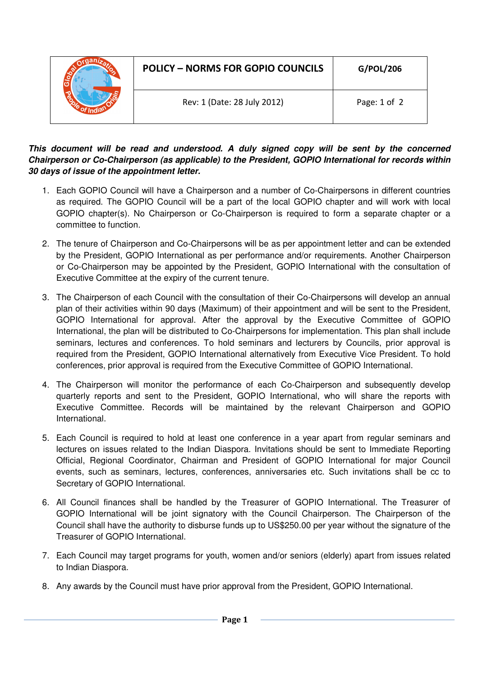|  | <b>POLICY - NORMS FOR GOPIO COUNCILS</b> | G/POL/206    |
|--|------------------------------------------|--------------|
|  | Rev: 1 (Date: 28 July 2012)              | Page: 1 of 2 |

## **This document will be read and understood. A duly signed copy will be sent by the concerned Chairperson or Co-Chairperson (as applicable) to the President, GOPIO International for records within 30 days of issue of the appointment letter.**

- 1. Each GOPIO Council will have a Chairperson and a number of Co-Chairpersons in different countries as required. The GOPIO Council will be a part of the local GOPIO chapter and will work with local GOPIO chapter(s). No Chairperson or Co-Chairperson is required to form a separate chapter or a committee to function.
- 2. The tenure of Chairperson and Co-Chairpersons will be as per appointment letter and can be extended by the President, GOPIO International as per performance and/or requirements. Another Chairperson or Co-Chairperson may be appointed by the President, GOPIO International with the consultation of Executive Committee at the expiry of the current tenure.
- 3. The Chairperson of each Council with the consultation of their Co-Chairpersons will develop an annual plan of their activities within 90 days (Maximum) of their appointment and will be sent to the President, GOPIO International for approval. After the approval by the Executive Committee of GOPIO International, the plan will be distributed to Co-Chairpersons for implementation. This plan shall include seminars, lectures and conferences. To hold seminars and lecturers by Councils, prior approval is required from the President, GOPIO International alternatively from Executive Vice President. To hold conferences, prior approval is required from the Executive Committee of GOPIO International.
- 4. The Chairperson will monitor the performance of each Co-Chairperson and subsequently develop quarterly reports and sent to the President, GOPIO International, who will share the reports with Executive Committee. Records will be maintained by the relevant Chairperson and GOPIO International.
- 5. Each Council is required to hold at least one conference in a year apart from regular seminars and lectures on issues related to the Indian Diaspora. Invitations should be sent to Immediate Reporting Official, Regional Coordinator, Chairman and President of GOPIO International for major Council events, such as seminars, lectures, conferences, anniversaries etc. Such invitations shall be cc to Secretary of GOPIO International.
- 6. All Council finances shall be handled by the Treasurer of GOPIO International. The Treasurer of GOPIO International will be joint signatory with the Council Chairperson. The Chairperson of the Council shall have the authority to disburse funds up to US\$250.00 per year without the signature of the Treasurer of GOPIO International.
- 7. Each Council may target programs for youth, women and/or seniors (elderly) apart from issues related to Indian Diaspora.
- 8. Any awards by the Council must have prior approval from the President, GOPIO International.